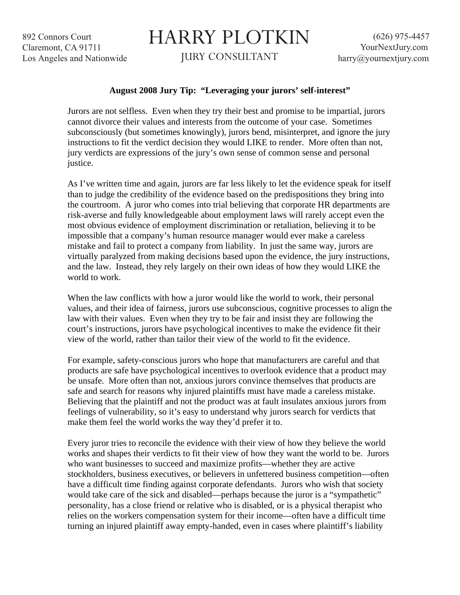892 Connors Court Claremont, CA 91711 Los Angeles and Nationwide

## HARRY PLOTKIN

JURY CONSULTANT

## **August 2008 Jury Tip: "Leveraging your jurors' self-interest"**

Jurors are not selfless. Even when they try their best and promise to be impartial, jurors cannot divorce their values and interests from the outcome of your case. Sometimes subconsciously (but sometimes knowingly), jurors bend, misinterpret, and ignore the jury instructions to fit the verdict decision they would LIKE to render. More often than not, jury verdicts are expressions of the jury's own sense of common sense and personal justice.

As I've written time and again, jurors are far less likely to let the evidence speak for itself than to judge the credibility of the evidence based on the predispositions they bring into the courtroom. A juror who comes into trial believing that corporate HR departments are risk-averse and fully knowledgeable about employment laws will rarely accept even the most obvious evidence of employment discrimination or retaliation, believing it to be impossible that a company's human resource manager would ever make a careless mistake and fail to protect a company from liability. In just the same way, jurors are virtually paralyzed from making decisions based upon the evidence, the jury instructions, and the law. Instead, they rely largely on their own ideas of how they would LIKE the world to work.

When the law conflicts with how a juror would like the world to work, their personal values, and their idea of fairness, jurors use subconscious, cognitive processes to align the law with their values. Even when they try to be fair and insist they are following the court's instructions, jurors have psychological incentives to make the evidence fit their view of the world, rather than tailor their view of the world to fit the evidence.

For example, safety-conscious jurors who hope that manufacturers are careful and that products are safe have psychological incentives to overlook evidence that a product may be unsafe. More often than not, anxious jurors convince themselves that products are safe and search for reasons why injured plaintiffs must have made a careless mistake. Believing that the plaintiff and not the product was at fault insulates anxious jurors from feelings of vulnerability, so it's easy to understand why jurors search for verdicts that make them feel the world works the way they'd prefer it to.

Every juror tries to reconcile the evidence with their view of how they believe the world works and shapes their verdicts to fit their view of how they want the world to be. Jurors who want businesses to succeed and maximize profits—whether they are active stockholders, business executives, or believers in unfettered business competition—often have a difficult time finding against corporate defendants. Jurors who wish that society would take care of the sick and disabled—perhaps because the juror is a "sympathetic" personality, has a close friend or relative who is disabled, or is a physical therapist who relies on the workers compensation system for their income—often have a difficult time turning an injured plaintiff away empty-handed, even in cases where plaintiff's liability